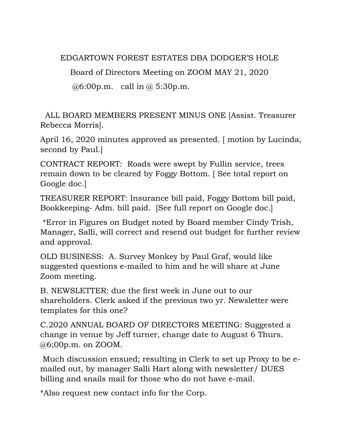EDGARTOWN FOREST ESTATES DBA DODGER'S HOLE

Board of Directors Meeting on ZOOM MAY 21, 2020

 $@6:00p.m.$  call in  $@5:30p.m.$ 

ALL BOARD MEMBERS PRESENT MINUS ONE [Assist. Treasurer Rebecca Morris].

April 16, 2020 minutes approved as presented. [ motion by Lucinda, second by Paul.]

CONTRACT REPORT: Roads were swept by Fullin service, trees remain down to be cleared by Foggy Bottom. [ See total report on Google doc.]

TREASURER REPORT: Insurance bill paid, Foggy Bottom bill paid, Bookkeeping- Adm. bill paid. [See full report on Google doc.]

\*Error in Figures on Budget noted by Board member Cindy Trish, Manager, Salli, will correct and resend out budget for further review and approval.

OLD BUSINESS: A. Survey Monkey by Paul Graf, would like suggested questions e-mailed to him and he will share at June Zoom meeting.

B. NEWSLETTER: due the first week in June out to our shareholders. Clerk asked if the previous two yr. Newsletter were templates for this one?

C.2020 ANNUAL BOARD OF DIRECTORS MEETING: Suggested a change in venue by Jeff turner, change date to August 6 Thurs. @6;00p.m. on ZOOM.

Much discussion ensued; resulting in Clerk to set up Proxy to be emailed out, by manager Salli Hart along with newsletter/ DUES billing and snails mail for those who do not have e-mail.

\*Also request new contact info for the Corp.